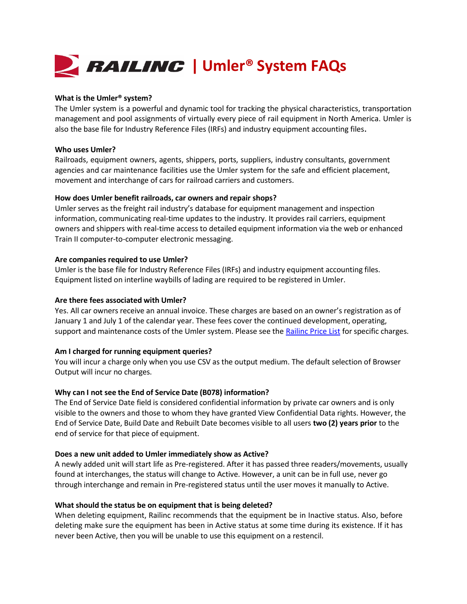

# **What is the Umler® system?**

The Umler system is a powerful and dynamic tool for tracking the physical characteristics, transportation management and pool assignments of virtually every piece of rail equipment in North America. Umler is also the base file for Industry Reference Files (IRFs) and industry equipment accounting files.

# **Who uses Umler?**

Railroads, equipment owners, agents, shippers, ports, suppliers, industry consultants, government agencies and car maintenance facilities use the Umler system for the safe and efficient placement, movement and interchange of cars for railroad carriers and customers.

# **How does Umler benefit railroads, car owners and repair shops?**

Umler serves as the freight rail industry's database for equipment management and inspection information, communicating real-time updates to the industry. It provides rail carriers, equipment owners and shippers with real-time access to detailed equipment information via the web or enhanced Train II computer-to-computer electronic messaging.

#### **Are companies required to use Umler?**

Umler is the base file for Industry Reference Files (IRFs) and industry equipment accounting files. Equipment listed on interline waybills of lading are required to be registered in Umler.

#### **Are there fees associated with Umler?**

Yes. All car owners receive an annual invoice. These charges are based on an owner's registration as of January 1 and July 1 of the calendar year. These fees cover the continued development, operating, support and maintenance costs of the Umler system. Please see the [Railinc Price List](https://public.railinc.com/support/railinc-price-list) for specific charges.

#### **Am I charged for running equipment queries?**

You will incur a charge only when you use CSV as the output medium. The default selection of Browser Output will incur no charges.

# **Why can I not see the End of Service Date (B078) information?**

The End of Service Date field is considered confidential information by private car owners and is only visible to the owners and those to whom they have granted View Confidential Data rights. However, the End of Service Date, Build Date and Rebuilt Date becomes visible to all users **two (2) years prior** to the end of service for that piece of equipment.

#### **Does a new unit added to Umler immediately show as Active?**

A newly added unit will start life as Pre-registered. After it has passed three readers/movements, usually found at interchanges, the status will change to Active. However, a unit can be in full use, never go through interchange and remain in Pre-registered status until the user moves it manually to Active.

#### **What should the status be on equipment that is being deleted?**

When deleting equipment, Railinc recommends that the equipment be in Inactive status. Also, before deleting make sure the equipment has been in Active status at some time during its existence. If it has never been Active, then you will be unable to use this equipment on a restencil.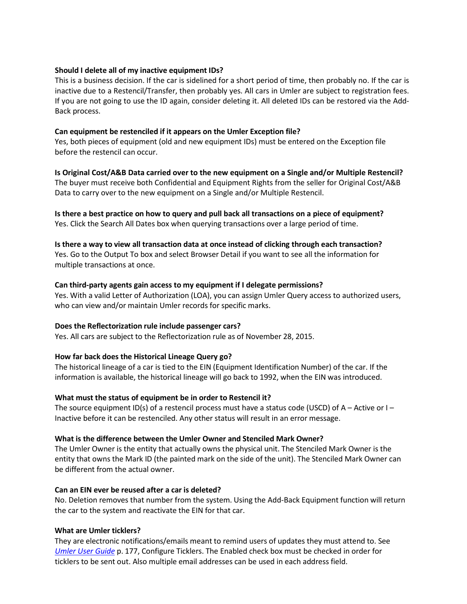### **Should I delete all of my inactive equipment IDs?**

This is a business decision. If the car is sidelined for a short period of time, then probably no. If the car is inactive due to a Restencil/Transfer, then probably yes. All cars in Umler are subject to registration fees. If you are not going to use the ID again, consider deleting it. All deleted IDs can be restored via the Add-Back process.

# **Can equipment be restenciled if it appears on the Umler Exception file?**

Yes, both pieces of equipment (old and new equipment IDs) must be entered on the Exception file before the restencil can occur.

# **Is Original Cost/A&B Data carried over to the new equipment on a Single and/or Multiple Restencil?**

The buyer must receive both Confidential and Equipment Rights from the seller for Original Cost/A&B Data to carry over to the new equipment on a Single and/or Multiple Restencil.

# **Is there a best practice on how to query and pull back all transactions on a piece of equipment?** Yes. Click the Search All Dates box when querying transactions over a large period of time.

**Is there a way to view all transaction data at once instead of clicking through each transaction?** Yes. Go to the Output To box and select Browser Detail if you want to see all the information for multiple transactions at once.

# **Can third-party agents gain access to my equipment if I delegate permissions?**

Yes. With a valid Letter of Authorization (LOA), you can assign Umler Query access to authorized users, who can view and/or maintain Umler records for specific marks.

#### **Does the Reflectorization rule include passenger cars?**

Yes. All cars are subject to the Reflectorization rule as of November 28, 2015.

# **How far back does the Historical Lineage Query go?**

The historical lineage of a car is tied to the EIN (Equipment Identification Number) of the car. If the information is available, the historical lineage will go back to 1992, when the EIN was introduced.

# **What must the status of equipment be in order to Restencil it?**

The source equipment ID(s) of a restencil process must have a status code (USCD) of  $A -$ Active or  $I -$ Inactive before it can be restenciled. Any other status will result in an error message.

#### **What is the difference between the Umler Owner and Stenciled Mark Owner?**

The Umler Owner is the entity that actually owns the physical unit. The Stenciled Mark Owner is the entity that owns the Mark ID (the painted mark on the side of the unit). The Stenciled Mark Owner can be different from the actual owner.

#### **Can an EIN ever be reused after a car is deleted?**

No. Deletion removes that number from the system. Using the Add-Back Equipment function will return the car to the system and reactivate the EIN for that car.

#### **What are Umler ticklers?**

They are electronic notifications/emails meant to remind users of updates they must attend to. See *[Umler User Guide](https://public.railinc.com/sites/default/files/documents/UmlerUserGuide.pdf)* p. 177, Configure Ticklers. The Enabled check box must be checked in order for ticklers to be sent out. Also multiple email addresses can be used in each address field.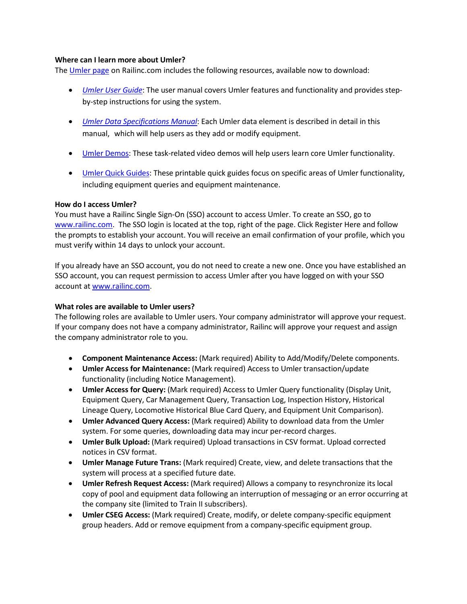### **Where can I learn more about Umler?**

The [Umler page](https://public.railinc.com/products-services/umler-system) on Railinc.com includes the following resources, available now to download:

- *[Umler User Guide](https://public.railinc.com/sites/default/files/documents/UmlerUserGuide.pdf)*: The user manual covers Umler features and functionality and provides stepby-step instructions for using the system.
- *[Umler Data Specifications Manual](https://public.railinc.com/sites/default/files/documents/UmlerDataSpecs.pdf)*: Each Umler data element is described in detail in this manual, which will help users as they add or modify equipment.
- [Umler Demos:](https://public.railinc.com/products-services/umler-system) These task-related video demos will help users learn core Umler functionality.
- [Umler Quick Guides:](https://public.railinc.com/products-services/umler-system#umler-quick-guides) These printable quick guides focus on specific areas of Umler functionality, including equipment queries and equipment maintenance.

#### **How do I access Umler?**

You must have a Railinc Single Sign-On (SSO) account to access Umler. To create an SSO, go to [www.railinc.com.](http://www.railinc.com/) The SSO login is located at the top, right of the page. Click Register Here and follow the prompts to establish your account. You will receive an email confirmation of your profile, which you must verify within 14 days to unlock your account.

If you already have an SSO account, you do not need to create a new one. Once you have established an SSO account, you can request permission to access Umler after you have logged on with your SSO account at [www.railinc.com.](http://www.railinc.com/)

# **What roles are available to Umler users?**

The following roles are available to Umler users. Your company administrator will approve your request. If your company does not have a company administrator, Railinc will approve your request and assign the company administrator role to you.

- **Component Maintenance Access:** (Mark required) Ability to Add/Modify/Delete components.
- **Umler Access for Maintenance:** (Mark required) Access to Umler transaction/update functionality (including Notice Management).
- **Umler Access for Query:** (Mark required) Access to Umler Query functionality (Display Unit, Equipment Query, Car Management Query, Transaction Log, Inspection History, Historical Lineage Query, Locomotive Historical Blue Card Query, and Equipment Unit Comparison).
- **Umler Advanced Query Access:** (Mark required) Ability to download data from the Umler system. For some queries, downloading data may incur per-record charges.
- **Umler Bulk Upload:** (Mark required) Upload transactions in CSV format. Upload corrected notices in CSV format.
- **Umler Manage Future Trans:** (Mark required) Create, view, and delete transactions that the system will process at a specified future date.
- **Umler Refresh Request Access:** (Mark required) Allows a company to resynchronize its local copy of pool and equipment data following an interruption of messaging or an error occurring at the company site (limited to Train II subscribers).
- **Umler CSEG Access:** (Mark required) Create, modify, or delete company-specific equipment group headers. Add or remove equipment from a company-specific equipment group.